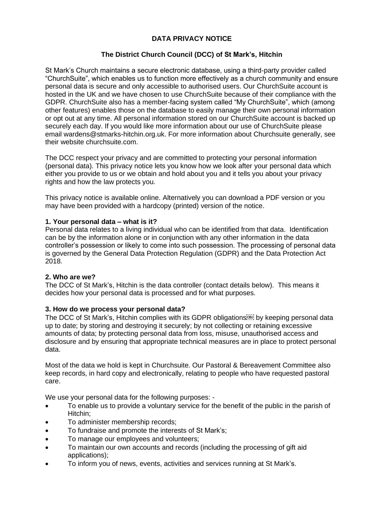# **DATA PRIVACY NOTICE**

# **The District Church Council (DCC) of St Mark's, Hitchin**

St Mark's Church maintains a secure electronic database, using a third-party provider called "ChurchSuite", which enables us to function more effectively as a church community and ensure personal data is secure and only accessible to authorised users. Our ChurchSuite account is hosted in the UK and we have chosen to use ChurchSuite because of their compliance with the GDPR. ChurchSuite also has a member-facing system called "My ChurchSuite", which (among other features) enables those on the database to easily manage their own personal information or opt out at any time. All personal information stored on our ChurchSuite account is backed up securely each day. If you would like more information about our use of ChurchSuite please email wardens@stmarks-hitchin.org.uk. For more information about Churchsuite generally, see their website churchsuite.com.

The DCC respect your privacy and are committed to protecting your personal information (personal data). This privacy notice lets you know how we look after your personal data which either you provide to us or we obtain and hold about you and it tells you about your privacy rights and how the law protects you.

This privacy notice is available online. Alternatively you can download a PDF version or you may have been provided with a hardcopy (printed) version of the notice.

### **1. Your personal data – what is it?**

Personal data relates to a living individual who can be identified from that data. Identification can be by the information alone or in conjunction with any other information in the data controller's possession or likely to come into such possession. The processing of personal data is governed by the General Data Protection Regulation (GDPR) and the Data Protection Act 2018.

### **2. Who are we?**

The DCC of St Mark's, Hitchin is the data controller (contact details below). This means it decides how your personal data is processed and for what purposes.

### **3. How do we process your personal data?**

The DCC of St Mark's, Hitchin complies with its GDPR obligations<sup>form</sup> by keeping personal data up to date; by storing and destroying it securely; by not collecting or retaining excessive amounts of data; by protecting personal data from loss, misuse, unauthorised access and disclosure and by ensuring that appropriate technical measures are in place to protect personal data.

Most of the data we hold is kept in Churchsuite. Our Pastoral & Bereavement Committee also keep records, in hard copy and electronically, relating to people who have requested pastoral care.

We use your personal data for the following purposes: -

- To enable us to provide a voluntary service for the benefit of the public in the parish of Hitchin;
- To administer membership records;
- To fundraise and promote the interests of St Mark's;
- To manage our employees and volunteers;
- To maintain our own accounts and records (including the processing of gift aid applications);
- To inform you of news, events, activities and services running at St Mark's.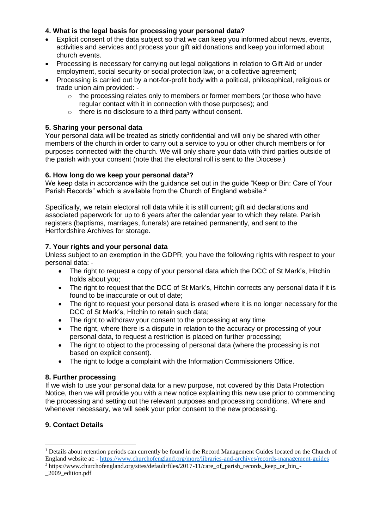### **4. What is the legal basis for processing your personal data?**

- Explicit consent of the data subject so that we can keep you informed about news, events, activities and services and process your gift aid donations and keep you informed about church events.
- Processing is necessary for carrying out legal obligations in relation to Gift Aid or under employment, social security or social protection law, or a collective agreement;
- Processing is carried out by a not-for-profit body with a political, philosophical, religious or trade union aim provided: -
	- $\circ$  the processing relates only to members or former members (or those who have regular contact with it in connection with those purposes); and
	- o there is no disclosure to a third party without consent.

### **5. Sharing your personal data**

Your personal data will be treated as strictly confidential and will only be shared with other members of the church in order to carry out a service to you or other church members or for purposes connected with the church. We will only share your data with third parties outside of the parish with your consent (note that the electoral roll is sent to the Diocese.)

### **6. How long do we keep your personal data<sup>1</sup>?**

We keep data in accordance with the guidance set out in the guide "Keep or Bin: Care of Your Parish Records" which is available from the Church of England website.<sup>2</sup>

Specifically, we retain electoral roll data while it is still current; gift aid declarations and associated paperwork for up to 6 years after the calendar year to which they relate. Parish registers (baptisms, marriages, funerals) are retained permanently, and sent to the Hertfordshire Archives for storage.

### **7. Your rights and your personal data**

Unless subject to an exemption in the GDPR, you have the following rights with respect to your personal data: -

- The right to request a copy of your personal data which the DCC of St Mark's, Hitchin holds about you;
- The right to request that the DCC of St Mark's, Hitchin corrects any personal data if it is found to be inaccurate or out of date;
- The right to request your personal data is erased where it is no longer necessary for the DCC of St Mark's, Hitchin to retain such data;
- The right to withdraw your consent to the processing at any time
- The right, where there is a dispute in relation to the accuracy or processing of your personal data, to request a restriction is placed on further processing;
- The right to object to the processing of personal data (where the processing is not based on explicit consent).
- The right to lodge a complaint with the Information Commissioners Office.

### **8. Further processing**

If we wish to use your personal data for a new purpose, not covered by this Data Protection Notice, then we will provide you with a new notice explaining this new use prior to commencing the processing and setting out the relevant purposes and processing conditions. Where and whenever necessary, we will seek your prior consent to the new processing.

# **9. Contact Details**

<sup>2</sup> https://www.churchofengland.org/sites/default/files/2017-11/care\_of\_parish\_records\_keep\_or\_bin\_- \_2009\_edition.pdf

 $<sup>1</sup>$  Details about retention periods can currently be found in the Record Management Guides located on the Church of</sup> England website at: - <https://www.churchofengland.org/more/libraries-and-archives/records-management-guides>